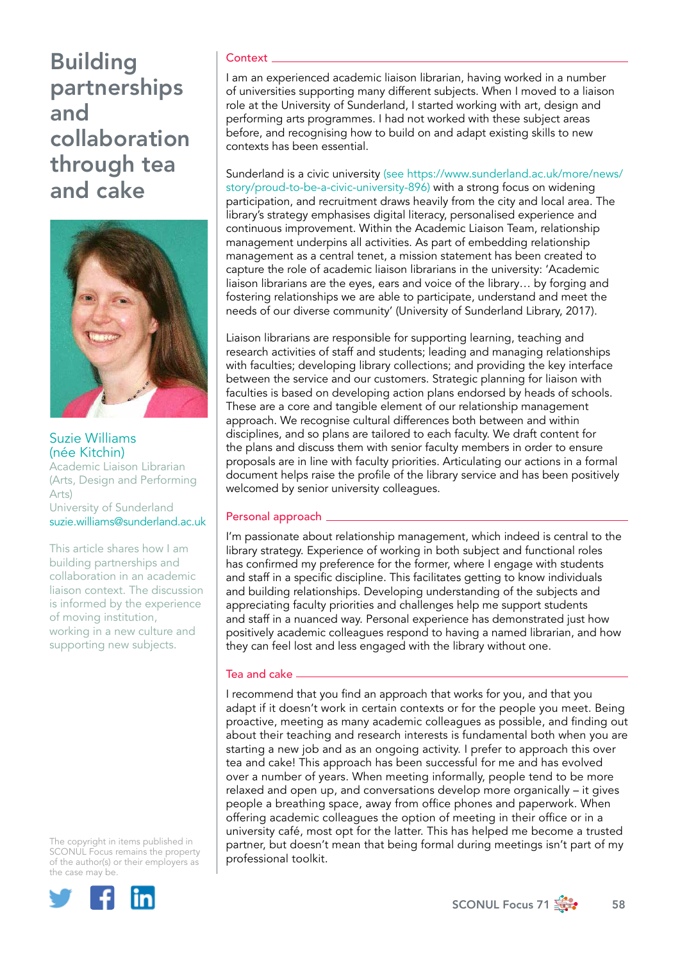

## Suzie Williams (née Kitchin)

Academic Liaison Librarian (Arts, Design and Performing Arts) University of Sunderland

[suzie.williams@sunderland.ac.uk](mailto:suzie.williams%40sunderland.ac.uk?subject=)

This article shares how I am building partnerships and collaboration in an academic liaison context. The discussion is informed by the experience of moving institution, working in a new culture and supporting new subjects.

The copyright in items published in SCONUL Focus remains the property of the author(s) or their employers as the case may be.



### **Context**

I am an experienced academic liaison librarian, having worked in a number of universities supporting many different subjects. When I moved to a liaison role at the University of Sunderland, I started working with art, design and performing arts programmes. I had not worked with these subject areas before, and recognising how to build on and adapt existing skills to new contexts has been essential.

Sunderland is a civic university [\(see https://www.sunderland.ac.uk/more/news/](https://www.google.com/search?q=(see+https%3A%2F%2Fwww.sunderland.ac.uk%2Fmore%2Fnews%2Fstory%2Fproud-to-be-a-civic-university-896)&oq=(see+https%3A%2F%2Fwww.sunderland.ac.uk%2Fmore%2Fnews%2Fstory%2Fproud-to-be-a-civic-university-896)&aqs=chrome..69i57.1012j0j7&sourceid=chrome&ie=UTF-8) [story/proud-to-be-a-civic-university-896\)](https://www.google.com/search?q=(see+https%3A%2F%2Fwww.sunderland.ac.uk%2Fmore%2Fnews%2Fstory%2Fproud-to-be-a-civic-university-896)&oq=(see+https%3A%2F%2Fwww.sunderland.ac.uk%2Fmore%2Fnews%2Fstory%2Fproud-to-be-a-civic-university-896)&aqs=chrome..69i57.1012j0j7&sourceid=chrome&ie=UTF-8) with a strong focus on widening participation, and recruitment draws heavily from the city and local area. The library's strategy emphasises digital literacy, personalised experience and continuous improvement. Within the Academic Liaison Team, relationship management underpins all activities. As part of embedding relationship management as a central tenet, a mission statement has been created to capture the role of academic liaison librarians in the university: 'Academic liaison librarians are the eyes, ears and voice of the library… by forging and fostering relationships we are able to participate, understand and meet the needs of our diverse community' (University of Sunderland Library, 2017).

Liaison librarians are responsible for supporting learning, teaching and research activities of staff and students; leading and managing relationships with faculties; developing library collections; and providing the key interface between the service and our customers. Strategic planning for liaison with faculties is based on developing action plans endorsed by heads of schools. These are a core and tangible element of our relationship management approach. We recognise cultural differences both between and within disciplines, and so plans are tailored to each faculty. We draft content for the plans and discuss them with senior faculty members in order to ensure proposals are in line with faculty priorities. Articulating our actions in a formal document helps raise the profile of the library service and has been positively welcomed by senior university colleagues.

## Personal approach \_

I'm passionate about relationship management, which indeed is central to the library strategy. Experience of working in both subject and functional roles has confirmed my preference for the former, where I engage with students and staff in a specific discipline. This facilitates getting to know individuals and building relationships. Developing understanding of the subjects and appreciating faculty priorities and challenges help me support students and staff in a nuanced way. Personal experience has demonstrated just how positively academic colleagues respond to having a named librarian, and how they can feel lost and less engaged with the library without one.

## Tea and cake

I recommend that you find an approach that works for you, and that you adapt if it doesn't work in certain contexts or for the people you meet. Being proactive, meeting as many academic colleagues as possible, and finding out about their teaching and research interests is fundamental both when you are starting a new job and as an ongoing activity. I prefer to approach this over tea and cake! This approach has been successful for me and has evolved over a number of years. When meeting informally, people tend to be more relaxed and open up, and conversations develop more organically – it gives people a breathing space, away from office phones and paperwork. When offering academic colleagues the option of meeting in their office or in a university café, most opt for the latter. This has helped me become a trusted partner, but doesn't mean that being formal during meetings isn't part of my professional toolkit.

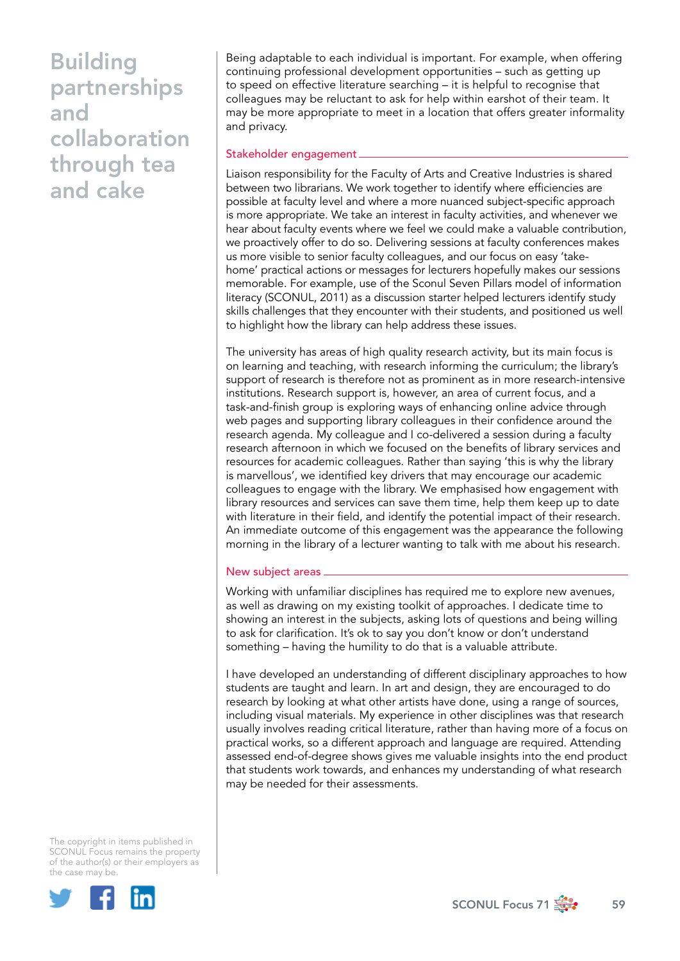Being adaptable to each individual is important. For example, when offering continuing professional development opportunities – such as getting up to speed on effective literature searching – it is helpful to recognise that colleagues may be reluctant to ask for help within earshot of their team. It may be more appropriate to meet in a location that offers greater informality and privacy.

### Stakeholder engagement

Liaison responsibility for the Faculty of Arts and Creative Industries is shared between two librarians. We work together to identify where efficiencies are possible at faculty level and where a more nuanced subject-specific approach is more appropriate. We take an interest in faculty activities, and whenever we hear about faculty events where we feel we could make a valuable contribution, we proactively offer to do so. Delivering sessions at faculty conferences makes us more visible to senior faculty colleagues, and our focus on easy 'takehome' practical actions or messages for lecturers hopefully makes our sessions memorable. For example, use of the Sconul Seven Pillars model of information literacy (SCONUL, 2011) as a discussion starter helped lecturers identify study skills challenges that they encounter with their students, and positioned us well to highlight how the library can help address these issues.

The university has areas of high quality research activity, but its main focus is on learning and teaching, with research informing the curriculum; the library's support of research is therefore not as prominent as in more research-intensive institutions. Research support is, however, an area of current focus, and a task-and-finish group is exploring ways of enhancing online advice through web pages and supporting library colleagues in their confidence around the research agenda. My colleague and I co-delivered a session during a faculty research afternoon in which we focused on the benefits of library services and resources for academic colleagues. Rather than saying 'this is why the library is marvellous', we identified key drivers that may encourage our academic colleagues to engage with the library. We emphasised how engagement with library resources and services can save them time, help them keep up to date with literature in their field, and identify the potential impact of their research. An immediate outcome of this engagement was the appearance the following morning in the library of a lecturer wanting to talk with me about his research.

#### New subject areas

Working with unfamiliar disciplines has required me to explore new avenues, as well as drawing on my existing toolkit of approaches. I dedicate time to showing an interest in the subjects, asking lots of questions and being willing to ask for clarification. It's ok to say you don't know or don't understand something – having the humility to do that is a valuable attribute.

I have developed an understanding of different disciplinary approaches to how students are taught and learn. In art and design, they are encouraged to do research by looking at what other artists have done, using a range of sources, including visual materials. My experience in other disciplines was that research usually involves reading critical literature, rather than having more of a focus on practical works, so a different approach and language are required. Attending assessed end-of-degree shows gives me valuable insights into the end product that students work towards, and enhances my understanding of what research may be needed for their assessments.

The copyright in items published in SCONUL Focus remains the property of the author(s) or their employers as the case may be.



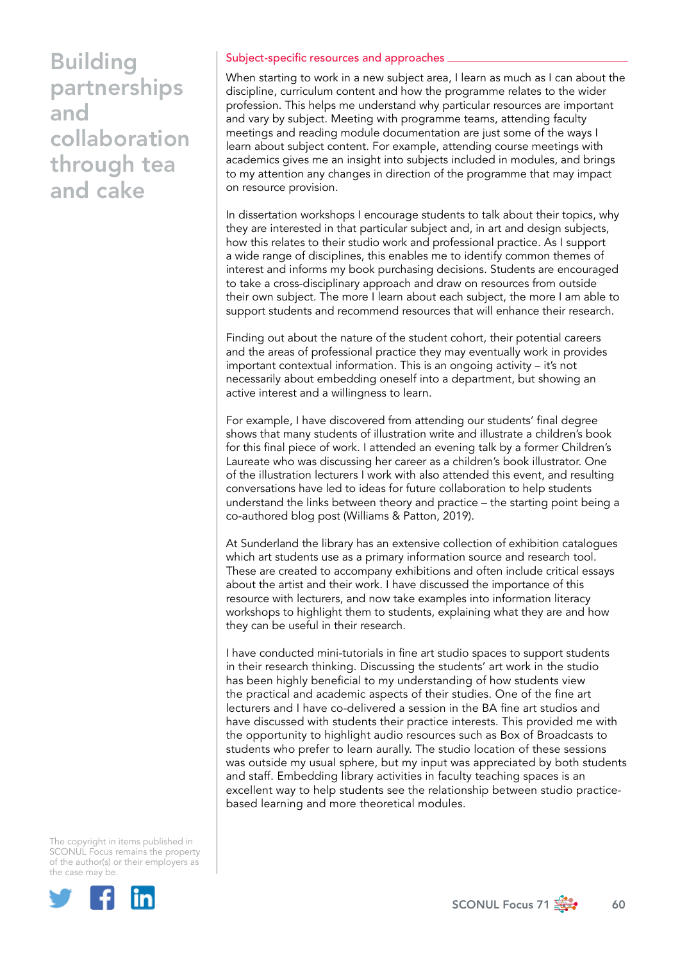### Subject-specific resources and approaches

When starting to work in a new subject area, I learn as much as I can about the discipline, curriculum content and how the programme relates to the wider profession. This helps me understand why particular resources are important and vary by subject. Meeting with programme teams, attending faculty meetings and reading module documentation are just some of the ways I learn about subject content. For example, attending course meetings with academics gives me an insight into subjects included in modules, and brings to my attention any changes in direction of the programme that may impact on resource provision.

In dissertation workshops I encourage students to talk about their topics, why they are interested in that particular subject and, in art and design subjects, how this relates to their studio work and professional practice. As I support a wide range of disciplines, this enables me to identify common themes of interest and informs my book purchasing decisions. Students are encouraged to take a cross-disciplinary approach and draw on resources from outside their own subject. The more I learn about each subject, the more I am able to support students and recommend resources that will enhance their research.

Finding out about the nature of the student cohort, their potential careers and the areas of professional practice they may eventually work in provides important contextual information. This is an ongoing activity – it's not necessarily about embedding oneself into a department, but showing an active interest and a willingness to learn.

For example, I have discovered from attending our students' final degree shows that many students of illustration write and illustrate a children's book for this final piece of work. I attended an evening talk by a former Children's Laureate who was discussing her career as a children's book illustrator. One of the illustration lecturers I work with also attended this event, and resulting conversations have led to ideas for future collaboration to help students understand the links between theory and practice – the starting point being a co-authored blog post (Williams & Patton, 2019).

At Sunderland the library has an extensive collection of exhibition catalogues which art students use as a primary information source and research tool. These are created to accompany exhibitions and often include critical essays about the artist and their work. I have discussed the importance of this resource with lecturers, and now take examples into information literacy workshops to highlight them to students, explaining what they are and how they can be useful in their research.

I have conducted mini-tutorials in fine art studio spaces to support students in their research thinking. Discussing the students' art work in the studio has been highly beneficial to my understanding of how students view the practical and academic aspects of their studies. One of the fine art lecturers and I have co-delivered a session in the BA fine art studios and have discussed with students their practice interests. This provided me with the opportunity to highlight audio resources such as Box of Broadcasts to students who prefer to learn aurally. The studio location of these sessions was outside my usual sphere, but my input was appreciated by both students and staff. Embedding library activities in faculty teaching spaces is an excellent way to help students see the relationship between studio practicebased learning and more theoretical modules.

The copyright in items published in SCONUL Focus remains the property of the author(s) or their employers as the case may be.